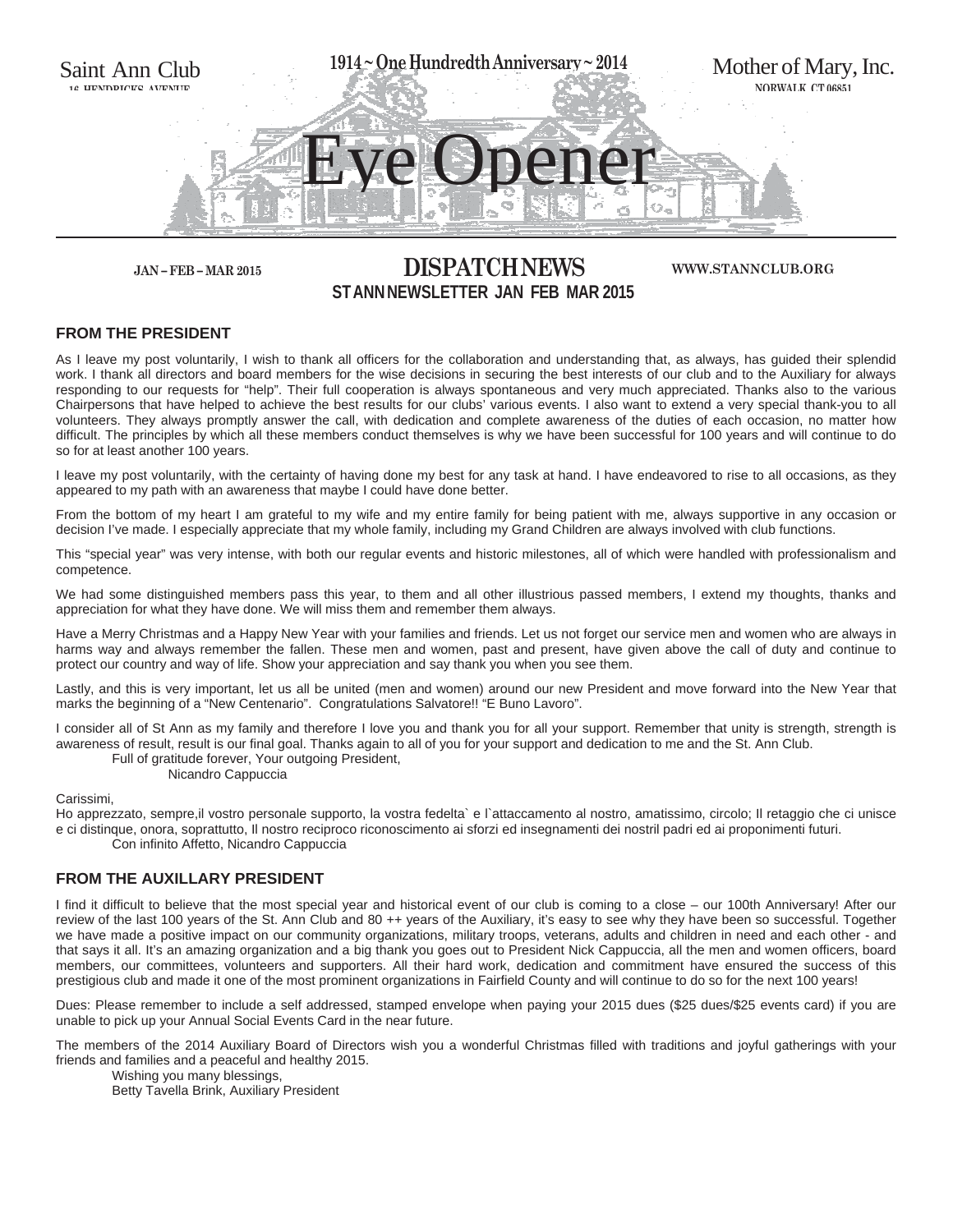

## **JAN – FEB – MAR 2015 DISPATCH NEWS ST ANN NEWSLETTER JAN FEB MAR 2015**

#### **WWW.STANNCLUB.ORG**

#### **FROM THE PRESIDENT**

As I leave my post voluntarily, I wish to thank all officers for the collaboration and understanding that, as always, has guided their splendid work. I thank all directors and board members for the wise decisions in securing the best interests of our club and to the Auxiliary for always responding to our requests for "help". Their full cooperation is always spontaneous and very much appreciated. Thanks also to the various Chairpersons that have helped to achieve the best results for our clubs' various events. I also want to extend a very special thank-you to all volunteers. They always promptly answer the call, with dedication and complete awareness of the duties of each occasion, no matter how difficult. The principles by which all these members conduct themselves is why we have been successful for 100 years and will continue to do so for at least another 100 years.

I leave my post voluntarily, with the certainty of having done my best for any task at hand. I have endeavored to rise to all occasions, as they appeared to my path with an awareness that maybe I could have done better.

From the bottom of my heart I am grateful to my wife and my entire family for being patient with me, always supportive in any occasion or decision I've made. I especially appreciate that my whole family, including my Grand Children are always involved with club functions.

This "special year" was very intense, with both our regular events and historic milestones, all of which were handled with professionalism and competence.

We had some distinguished members pass this year, to them and all other illustrious passed members, I extend my thoughts, thanks and appreciation for what they have done. We will miss them and remember them always.

Have a Merry Christmas and a Happy New Year with your families and friends. Let us not forget our service men and women who are always in harms way and always remember the fallen. These men and women, past and present, have given above the call of duty and continue to protect our country and way of life. Show your appreciation and say thank you when you see them.

Lastly, and this is very important, let us all be united (men and women) around our new President and move forward into the New Year that marks the beginning of a "New Centenario". Congratulations Salvatore!! "E Buno Lavoro".

I consider all of St Ann as my family and therefore I love you and thank you for all your support. Remember that unity is strength, strength is awareness of result, result is our final goal. Thanks again to all of you for your support and dedication to me and the St. Ann Club.

Full of gratitude forever, Your outgoing President,

Nicandro Cappuccia

Carissimi,

Ho apprezzato, sempre,il vostro personale supporto, la vostra fedelta` e l`attaccamento al nostro, amatissimo, circolo; Il retaggio che ci unisce e ci distinque, onora, soprattutto, Il nostro reciproco riconoscimento ai sforzi ed insegnamenti dei nostril padri ed ai proponimenti futuri. Con infinito Affetto, Nicandro Cappuccia

#### **FROM THE AUXILLARY PRESIDENT**

I find it difficult to believe that the most special year and historical event of our club is coming to a close – our 100th Anniversary! After our review of the last 100 years of the St. Ann Club and 80 ++ years of the Auxiliary, it's easy to see why they have been so successful. Together we have made a positive impact on our community organizations, military troops, veterans, adults and children in need and each other - and that says it all. It's an amazing organization and a big thank you goes out to President Nick Cappuccia, all the men and women officers, board members, our committees, volunteers and supporters. All their hard work, dedication and commitment have ensured the success of this prestigious club and made it one of the most prominent organizations in Fairfield County and will continue to do so for the next 100 years!

Dues: Please remember to include a self addressed, stamped envelope when paying your 2015 dues (\$25 dues/\$25 events card) if you are unable to pick up your Annual Social Events Card in the near future.

The members of the 2014 Auxiliary Board of Directors wish you a wonderful Christmas filled with traditions and joyful gatherings with your friends and families and a peaceful and healthy 2015.

 Wishing you many blessings, Betty Tavella Brink, Auxiliary President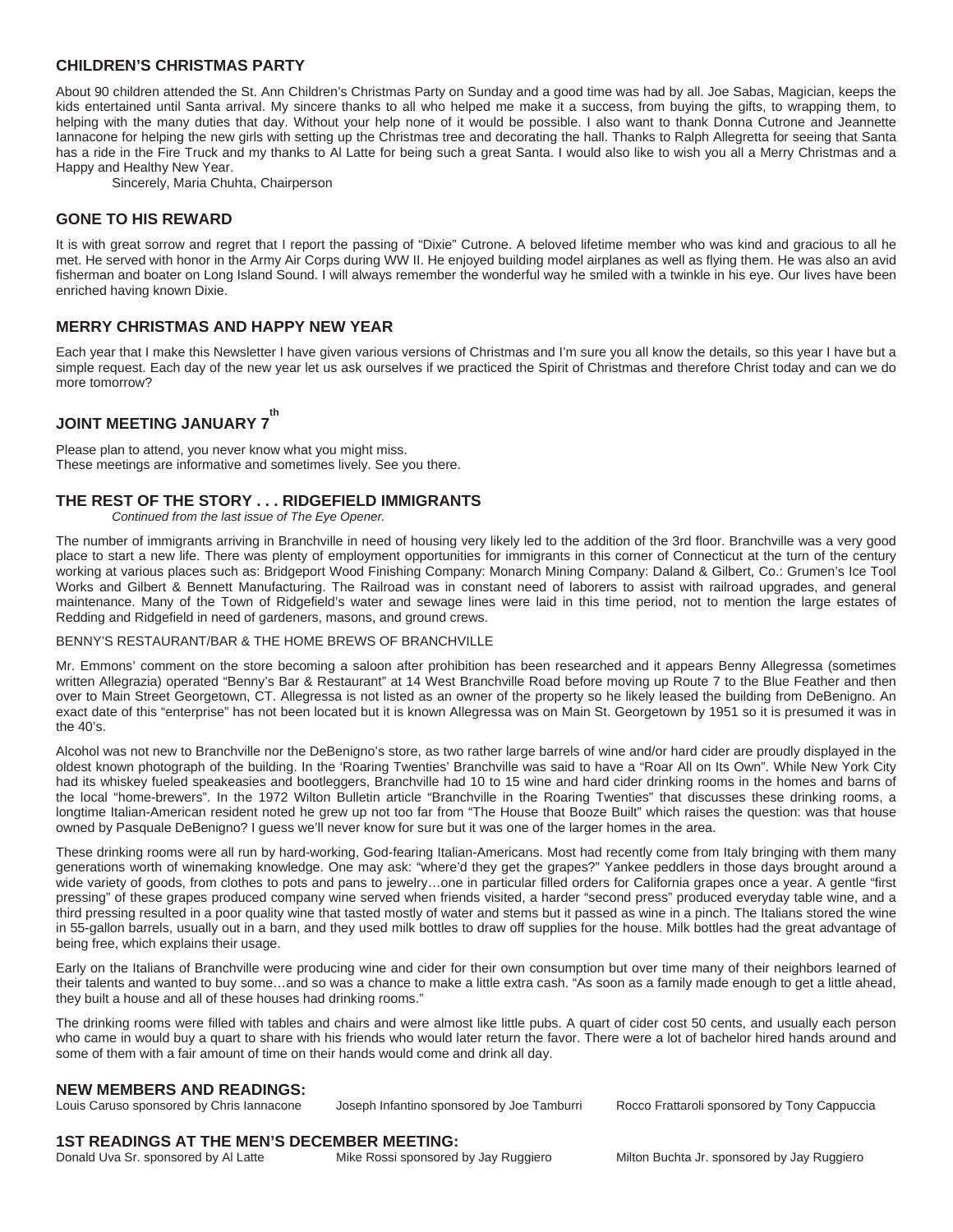#### **CHILDREN'S CHRISTMAS PARTY**

About 90 children attended the St. Ann Children's Christmas Party on Sunday and a good time was had by all. Joe Sabas, Magician, keeps the kids entertained until Santa arrival. My sincere thanks to all who helped me make it a success, from buying the gifts, to wrapping them, to helping with the many duties that day. Without your help none of it would be possible. I also want to thank Donna Cutrone and Jeannette Iannacone for helping the new girls with setting up the Christmas tree and decorating the hall. Thanks to Ralph Allegretta for seeing that Santa has a ride in the Fire Truck and my thanks to Al Latte for being such a great Santa. I would also like to wish you all a Merry Christmas and a Happy and Healthy New Year.

Sincerely, Maria Chuhta, Chairperson

#### **GONE TO HIS REWARD**

It is with great sorrow and regret that I report the passing of "Dixie" Cutrone. A beloved lifetime member who was kind and gracious to all he met. He served with honor in the Army Air Corps during WW II. He enjoyed building model airplanes as well as flying them. He was also an avid fisherman and boater on Long Island Sound. I will always remember the wonderful way he smiled with a twinkle in his eye. Our lives have been enriched having known Dixie.

#### **MERRY CHRISTMAS AND HAPPY NEW YEAR**

Each year that I make this Newsletter I have given various versions of Christmas and I'm sure you all know the details, so this year I have but a simple request. Each day of the new year let us ask ourselves if we practiced the Spirit of Christmas and therefore Christ today and can we do more tomorrow?

#### **JOINT MEETING JANUARY 7 th**

Please plan to attend, you never know what you might miss. These meetings are informative and sometimes lively. See you there.

#### **THE REST OF THE STORY . . . RIDGEFIELD IMMIGRANTS**

 *Continued from the last issue of The Eye Opener.* 

The number of immigrants arriving in Branchville in need of housing very likely led to the addition of the 3rd floor. Branchville was a very good place to start a new life. There was plenty of employment opportunities for immigrants in this corner of Connecticut at the turn of the century working at various places such as: Bridgeport Wood Finishing Company: Monarch Mining Company: Daland & Gilbert, Co.: Grumen's Ice Tool Works and Gilbert & Bennett Manufacturing. The Railroad was in constant need of laborers to assist with railroad upgrades, and general maintenance. Many of the Town of Ridgefield's water and sewage lines were laid in this time period, not to mention the large estates of Redding and Ridgefield in need of gardeners, masons, and ground crews.

#### BENNY'S RESTAURANT/BAR & THE HOME BREWS OF BRANCHVILLE

Mr. Emmons' comment on the store becoming a saloon after prohibition has been researched and it appears Benny Allegressa (sometimes written Allegrazia) operated "Benny's Bar & Restaurant" at 14 West Branchville Road before moving up Route 7 to the Blue Feather and then over to Main Street Georgetown, CT. Allegressa is not listed as an owner of the property so he likely leased the building from DeBenigno. An exact date of this "enterprise" has not been located but it is known Allegressa was on Main St. Georgetown by 1951 so it is presumed it was in the 40's.

Alcohol was not new to Branchville nor the DeBenigno's store, as two rather large barrels of wine and/or hard cider are proudly displayed in the oldest known photograph of the building. In the 'Roaring Twenties' Branchville was said to have a "Roar All on Its Own". While New York City had its whiskey fueled speakeasies and bootleggers, Branchville had 10 to 15 wine and hard cider drinking rooms in the homes and barns of the local "home-brewers". In the 1972 Wilton Bulletin article "Branchville in the Roaring Twenties" that discusses these drinking rooms, a longtime Italian-American resident noted he grew up not too far from "The House that Booze Built" which raises the question: was that house owned by Pasquale DeBenigno? I guess we'll never know for sure but it was one of the larger homes in the area.

These drinking rooms were all run by hard-working, God-fearing Italian-Americans. Most had recently come from Italy bringing with them many generations worth of winemaking knowledge. One may ask: "where'd they get the grapes?" Yankee peddlers in those days brought around a wide variety of goods, from clothes to pots and pans to jewelry...one in particular filled orders for California grapes once a year. A gentle "first pressing" of these grapes produced company wine served when friends visited, a harder "second press" produced everyday table wine, and a third pressing resulted in a poor quality wine that tasted mostly of water and stems but it passed as wine in a pinch. The Italians stored the wine in 55-gallon barrels, usually out in a barn, and they used milk bottles to draw off supplies for the house. Milk bottles had the great advantage of being free, which explains their usage.

Early on the Italians of Branchville were producing wine and cider for their own consumption but over time many of their neighbors learned of their talents and wanted to buy some…and so was a chance to make a little extra cash. "As soon as a family made enough to get a little ahead, they built a house and all of these houses had drinking rooms."

The drinking rooms were filled with tables and chairs and were almost like little pubs. A quart of cider cost 50 cents, and usually each person who came in would buy a quart to share with his friends who would later return the favor. There were a lot of bachelor hired hands around and some of them with a fair amount of time on their hands would come and drink all day.

# **NEW MEMBERS AND READINGS:**<br>Louis Caruso sponsored by Chris lannacone

Loseph Infantino sponsored by Joe Tamburri Rocco Frattaroli sponsored by Tony Cappuccia

#### **1ST READINGS AT THE MEN'S DECEMBER MEETING:**

Donald Uva Sr. sponsored by Al Latte Mike Rossi sponsored by Jay Ruggiero Milton Buchta Jr. sponsored by Jay Ruggiero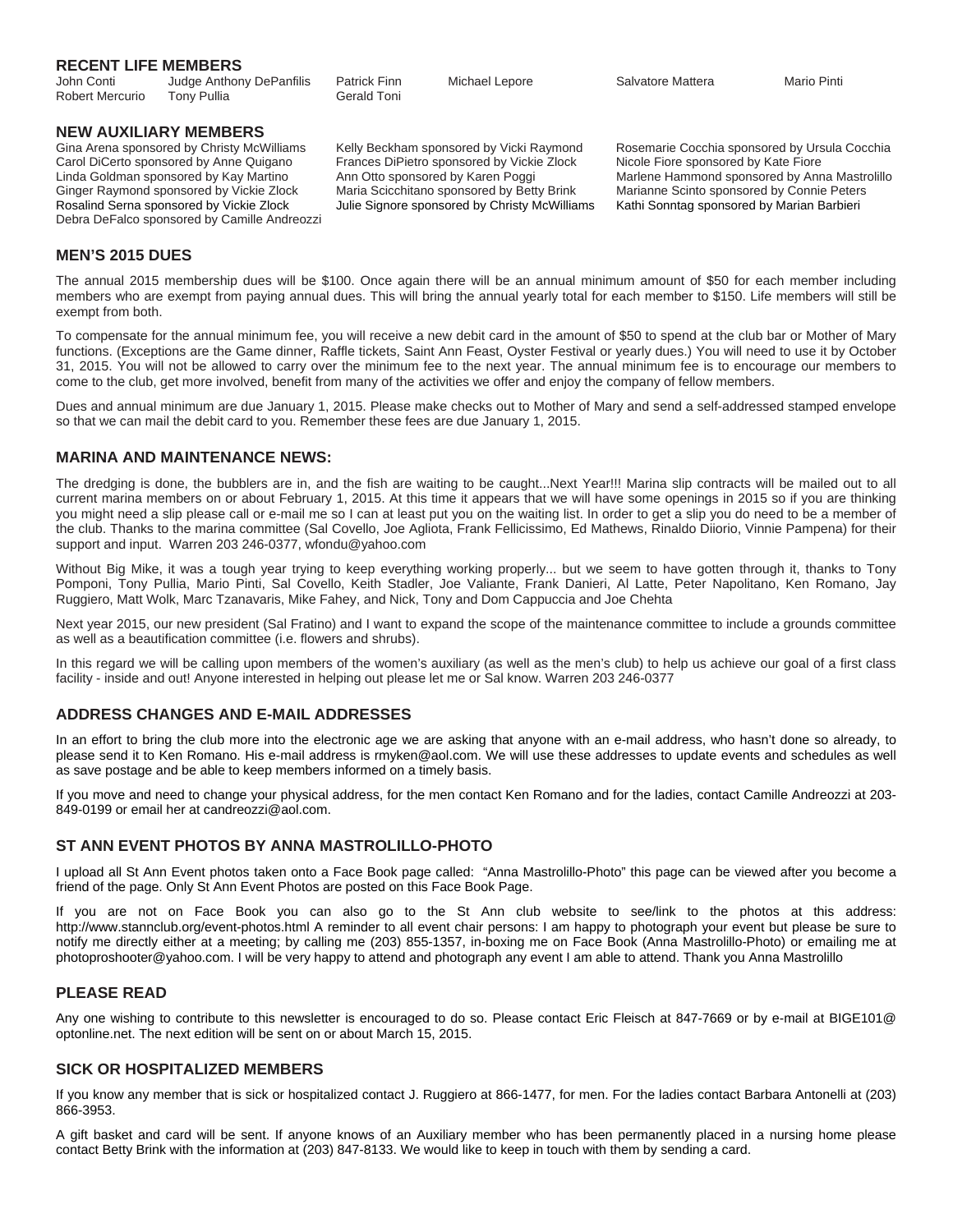#### **RECENT LIFE MEMBERS**

John Conti Judge Anthony DePanfilis Patrick Finn Michael Lepore Salvatore Mattera Mario Pinti Robert Mercurio Tony Pullia Contact Gerald Toni

**NEW AUXILIARY MEMBERS**<br>Gina Arena sponsored by Christy McWilliams

Carol DiCerto sponsored by Anne Quigano Frances DiPietro sponsored by Vickie Zlock Nicole Fiore sponsored by Kate Fiore Ginger Raymond sponsored by Vickie Zlock Maria Scicchitano sponsored by Betty Brink Marianne Scinto sponsored by Connie Peters<br>Rosalind Serna sponsored by Vickie Zlock Julie Signore sponsored by Christy McWilliams Kathi So Debra DeFalco sponsored by Camille Andreozzi

Julie Signore sponsored by Christy McWilliams

Kelly Beckham sponsored by Vicki Raymond Rosemarie Cocchia sponsored by Ursula Cocchia Linda Goldman sponsored by Kay Martino Ann Otto sponsored by Karen Poggi Marlene Hammond sponsored by Anna Mastrolillo<br>Ginger Raymond sponsored by Vickie Zlock Maria Scicchitano sponsored by Betty Brink Marianne Scinto spo

#### **MEN'S 2015 DUES**

The annual 2015 membership dues will be \$100. Once again there will be an annual minimum amount of \$50 for each member including members who are exempt from paying annual dues. This will bring the annual yearly total for each member to \$150. Life members will still be exempt from both.

To compensate for the annual minimum fee, you will receive a new debit card in the amount of \$50 to spend at the club bar or Mother of Mary functions. (Exceptions are the Game dinner, Raffle tickets, Saint Ann Feast, Oyster Festival or yearly dues.) You will need to use it by October 31, 2015. You will not be allowed to carry over the minimum fee to the next year. The annual minimum fee is to encourage our members to come to the club, get more involved, benefit from many of the activities we offer and enjoy the company of fellow members.

Dues and annual minimum are due January 1, 2015. Please make checks out to Mother of Mary and send a self-addressed stamped envelope so that we can mail the debit card to you. Remember these fees are due January 1, 2015.

#### **MARINA AND MAINTENANCE NEWS:**

The dredging is done, the bubblers are in, and the fish are waiting to be caught...Next Year!!! Marina slip contracts will be mailed out to all current marina members on or about February 1, 2015. At this time it appears that we will have some openings in 2015 so if you are thinking you might need a slip please call or e-mail me so I can at least put you on the waiting list. In order to get a slip you do need to be a member of the club. Thanks to the marina committee (Sal Covello, Joe Agliota, Frank Fellicissimo, Ed Mathews, Rinaldo Diiorio, Vinnie Pampena) for their support and input. Warren 203 246-0377, wfondu@yahoo.com

Without Big Mike, it was a tough year trying to keep everything working properly... but we seem to have gotten through it, thanks to Tony Pomponi, Tony Pullia, Mario Pinti, Sal Covello, Keith Stadler, Joe Valiante, Frank Danieri, Al Latte, Peter Napolitano, Ken Romano, Jay Ruggiero, Matt Wolk, Marc Tzanavaris, Mike Fahey, and Nick, Tony and Dom Cappuccia and Joe Chehta

Next year 2015, our new president (Sal Fratino) and I want to expand the scope of the maintenance committee to include a grounds committee as well as a beautification committee (i.e. flowers and shrubs).

In this regard we will be calling upon members of the women's auxiliary (as well as the men's club) to help us achieve our goal of a first class facility - inside and out! Anyone interested in helping out please let me or Sal know. Warren 203 246-0377

#### **ADDRESS CHANGES AND E-MAIL ADDRESSES**

In an effort to bring the club more into the electronic age we are asking that anyone with an e-mail address, who hasn't done so already, to please send it to Ken Romano. His e-mail address is rmyken@aol.com. We will use these addresses to update events and schedules as well as save postage and be able to keep members informed on a timely basis.

If you move and need to change your physical address, for the men contact Ken Romano and for the ladies, contact Camille Andreozzi at 203- 849-0199 or email her at candreozzi@aol.com.

#### **ST ANN EVENT PHOTOS BY ANNA MASTROLILLO-PHOTO**

I upload all St Ann Event photos taken onto a Face Book page called: "Anna Mastrolillo-Photo" this page can be viewed after you become a friend of the page. Only St Ann Event Photos are posted on this Face Book Page.

If you are not on Face Book you can also go to the St Ann club website to see/link to the photos at this address: http://www.stannclub.org/event-photos.html A reminder to all event chair persons: I am happy to photograph your event but please be sure to notify me directly either at a meeting; by calling me (203) 855-1357, in-boxing me on Face Book (Anna Mastrolillo-Photo) or emailing me at photoproshooter@yahoo.com. I will be very happy to attend and photograph any event I am able to attend. Thank you Anna Mastrolillo

### **PLEASE READ**

Any one wishing to contribute to this newsletter is encouraged to do so. Please contact Eric Fleisch at 847-7669 or by e-mail at BIGE101@ optonline.net. The next edition will be sent on or about March 15, 2015.

#### **SICK OR HOSPITALIZED MEMBERS**

If you know any member that is sick or hospitalized contact J. Ruggiero at 866-1477, for men. For the ladies contact Barbara Antonelli at (203) 866-3953.

A gift basket and card will be sent. If anyone knows of an Auxiliary member who has been permanently placed in a nursing home please contact Betty Brink with the information at (203) 847-8133. We would like to keep in touch with them by sending a card.